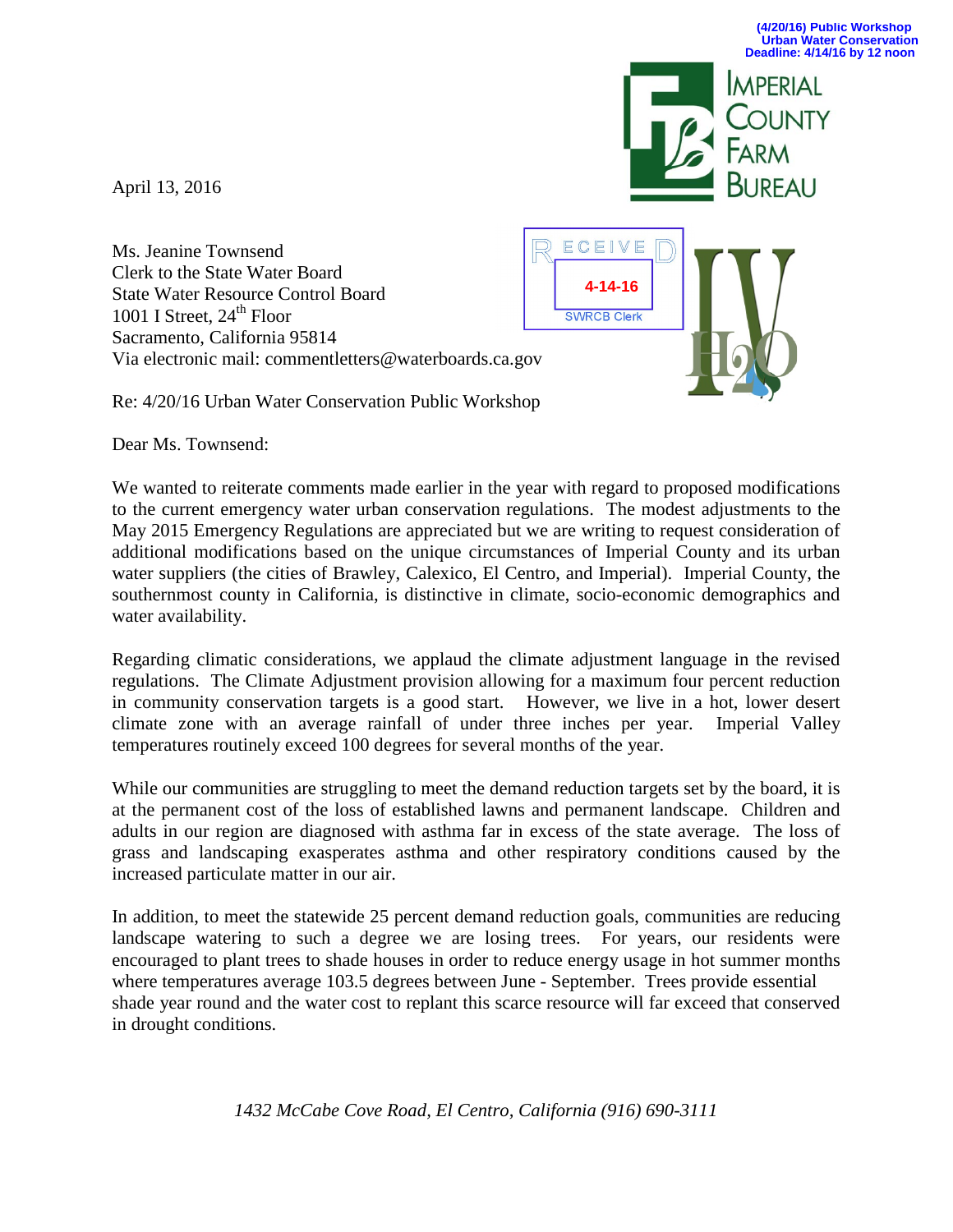**IMPERIAL** 

April 13, 2016

Ms. Jeanine Townsend Clerk to the State Water Board State Water Resource Control Board 1001 I Street,  $24<sup>th</sup>$  Floor Sacramento, California 95814 Via electronic mail: commentletters@waterboards.ca.gov

Re: 4/20/16 Urban Water Conservation Public Workshop

Dear Ms. Townsend:

We wanted to reiterate comments made earlier in the year with regard to proposed modifications to the current emergency water urban conservation regulations. The modest adjustments to the May 2015 Emergency Regulations are appreciated but we are writing to request consideration of additional modifications based on the unique circumstances of Imperial County and its urban water suppliers (the cities of Brawley, Calexico, El Centro, and Imperial). Imperial County, the southernmost county in California, is distinctive in climate, socio-economic demographics and water availability.

**4-14-16**

**SWRCB Clerk** 

ECEIVE

Regarding climatic considerations, we applaud the climate adjustment language in the revised regulations. The Climate Adjustment provision allowing for a maximum four percent reduction in community conservation targets is a good start. However, we live in a hot, lower desert climate zone with an average rainfall of under three inches per year. Imperial Valley temperatures routinely exceed 100 degrees for several months of the year.

While our communities are struggling to meet the demand reduction targets set by the board, it is at the permanent cost of the loss of established lawns and permanent landscape. Children and adults in our region are diagnosed with asthma far in excess of the state average. The loss of grass and landscaping exasperates asthma and other respiratory conditions caused by the increased particulate matter in our air.

In addition, to meet the statewide 25 percent demand reduction goals, communities are reducing landscape watering to such a degree we are losing trees. For years, our residents were encouraged to plant trees to shade houses in order to reduce energy usage in hot summer months where temperatures average 103.5 degrees between June - September. Trees provide essential shade year round and the water cost to replant this scarce resource will far exceed that conserved in drought conditions.

*1432 McCabe Cove Road, El Centro, California (916) 690-3111*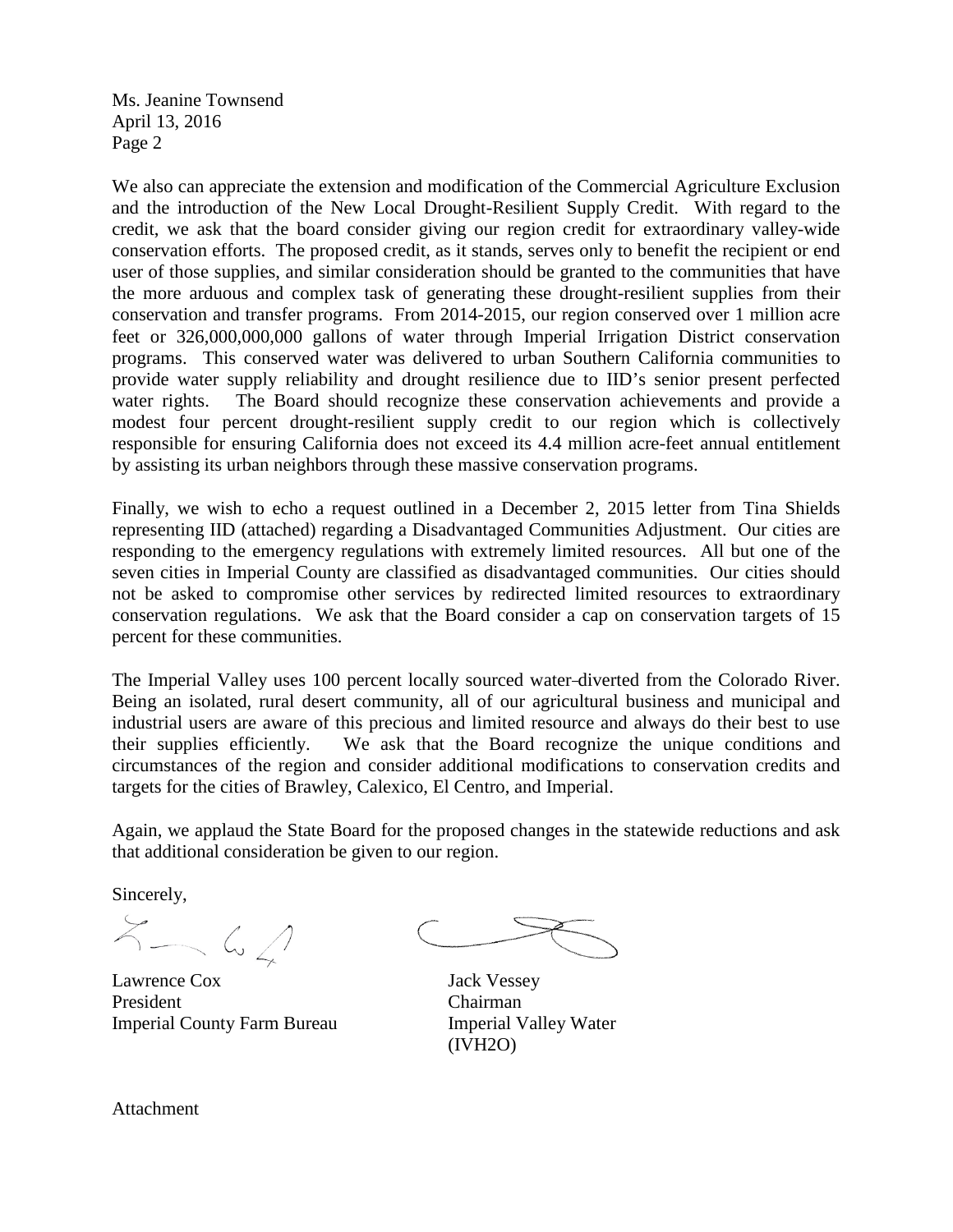Ms. Jeanine Townsend April 13, 2016 Page 2

We also can appreciate the extension and modification of the Commercial Agriculture Exclusion and the introduction of the New Local Drought-Resilient Supply Credit. With regard to the credit, we ask that the board consider giving our region credit for extraordinary valley-wide conservation efforts. The proposed credit, as it stands, serves only to benefit the recipient or end user of those supplies, and similar consideration should be granted to the communities that have the more arduous and complex task of generating these drought-resilient supplies from their conservation and transfer programs. From 2014-2015, our region conserved over 1 million acre feet or 326,000,000,000 gallons of water through Imperial Irrigation District conservation programs. This conserved water was delivered to urban Southern California communities to provide water supply reliability and drought resilience due to IID's senior present perfected water rights. The Board should recognize these conservation achievements and provide a modest four percent drought-resilient supply credit to our region which is collectively responsible for ensuring California does not exceed its 4.4 million acre-feet annual entitlement by assisting its urban neighbors through these massive conservation programs.

Finally, we wish to echo a request outlined in a December 2, 2015 letter from Tina Shields representing IID (attached) regarding a Disadvantaged Communities Adjustment. Our cities are responding to the emergency regulations with extremely limited resources. All but one of the seven cities in Imperial County are classified as disadvantaged communities. Our cities should not be asked to compromise other services by redirected limited resources to extraordinary conservation regulations. We ask that the Board consider a cap on conservation targets of 15 percent for these communities.

The Imperial Valley uses 100 percent locally sourced water diverted from the Colorado River. Being an isolated, rural desert community, all of our agricultural business and municipal and industrial users are aware of this precious and limited resource and always do their best to use their supplies efficiently. We ask that the Board recognize the unique conditions and circumstances of the region and consider additional modifications to conservation credits and targets for the cities of Brawley, Calexico, El Centro, and Imperial.

Again, we applaud the State Board for the proposed changes in the statewide reductions and ask that additional consideration be given to our region.

Sincerely,

 $X - 64$ 

Lawrence Cox Jack Vessey President Chairman Imperial County Farm Bureau Imperial Valley Water

(IVH2O)

Attachment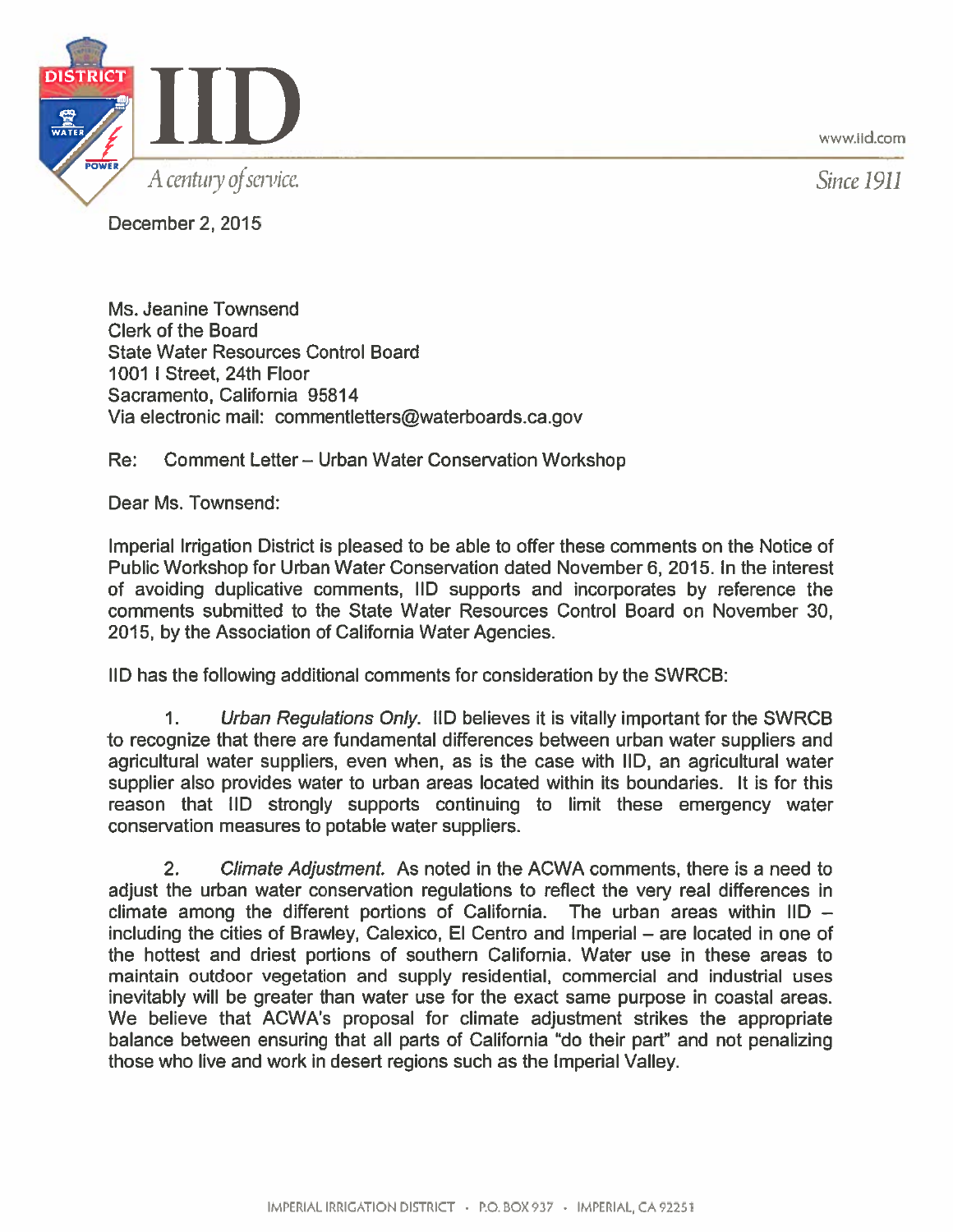www.iid.com



Since 1911

December 2, 2015

Ms. Jeanine Townsend Clerk of the Board **State Water Resources Control Board** 1001 | Street, 24th Floor Sacramento, California 95814 Via electronic mail: commentletters@waterboards.ca.gov

Comment Letter - Urban Water Conservation Workshop Re:

Dear Ms. Townsend:

Imperial Irrigation District is pleased to be able to offer these comments on the Notice of Public Workshop for Urban Water Conservation dated November 6, 2015. In the interest of avoiding duplicative comments, IID supports and incorporates by reference the comments submitted to the State Water Resources Control Board on November 30, 2015, by the Association of California Water Agencies.

IID has the following additional comments for consideration by the SWRCB:

Urban Regulations Only. IID believes it is vitally important for the SWRCB 1. to recognize that there are fundamental differences between urban water suppliers and agricultural water suppliers, even when, as is the case with IID, an agricultural water supplier also provides water to urban areas located within its boundaries. It is for this reason that IID strongly supports continuing to limit these emergency water conservation measures to potable water suppliers.

 $2<sub>1</sub>$ Climate Adjustment. As noted in the ACWA comments, there is a need to adjust the urban water conservation regulations to reflect the very real differences in climate among the different portions of California. The urban areas within  $ID$ including the cities of Brawley, Calexico, El Centro and Imperial – are located in one of the hottest and driest portions of southern California. Water use in these areas to maintain outdoor vegetation and supply residential, commercial and industrial uses inevitably will be greater than water use for the exact same purpose in coastal areas. We believe that ACWA's proposal for climate adjustment strikes the appropriate balance between ensuring that all parts of California "do their part" and not penalizing those who live and work in desert regions such as the Imperial Valley.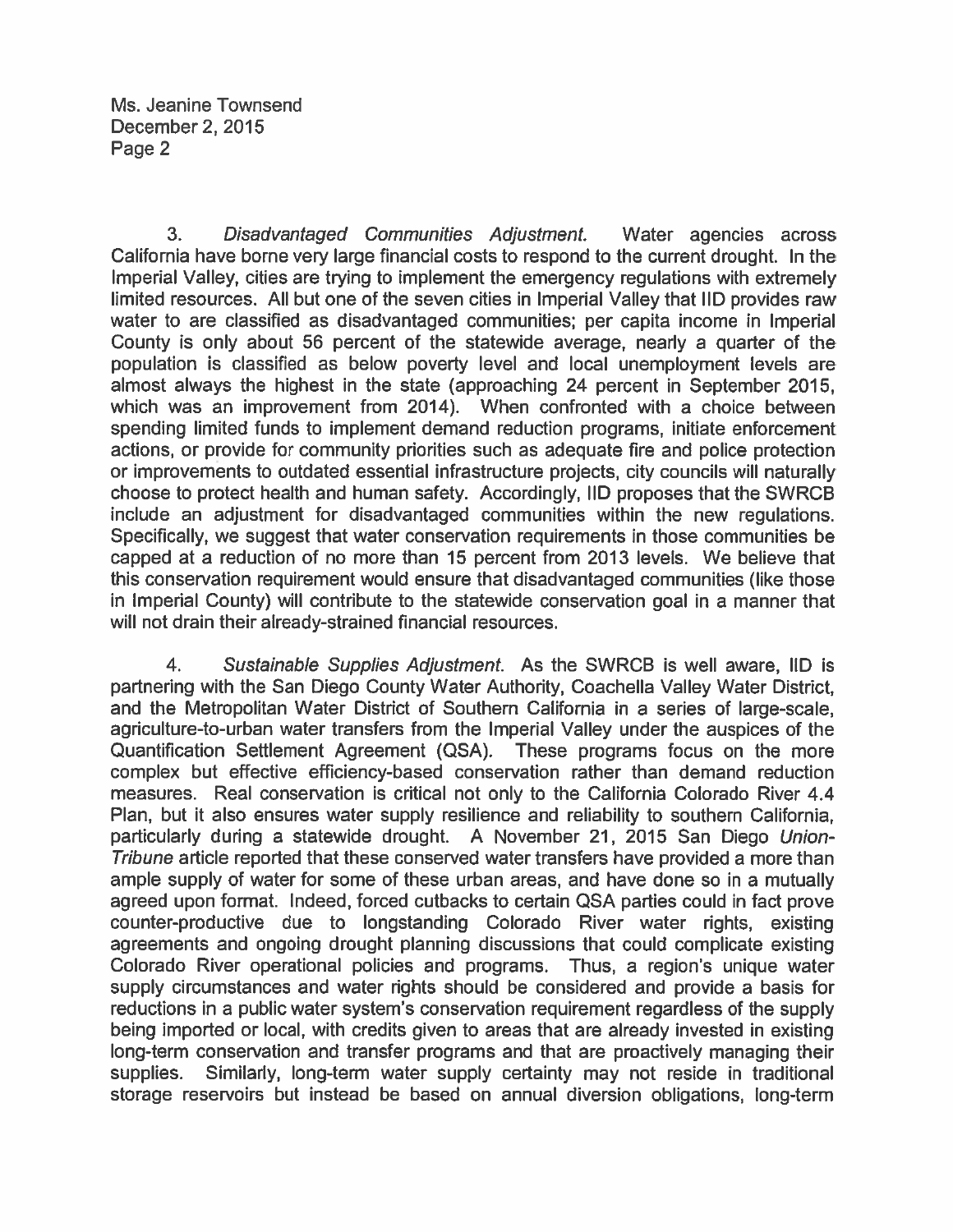$3<sub>1</sub>$ Disadvantaged Communities Adjustment. Water agencies across California have borne very large financial costs to respond to the current drought. In the Imperial Valley, cities are trying to implement the emergency regulations with extremely limited resources. All but one of the seven cities in Imperial Valley that IID provides raw water to are classified as disadvantaged communities; per capita income in Imperial County is only about 56 percent of the statewide average, nearly a quarter of the population is classified as below poverty level and local unemployment levels are almost always the highest in the state (approaching 24 percent in September 2015, which was an improvement from 2014). When confronted with a choice between spending limited funds to implement demand reduction programs, initiate enforcement actions, or provide for community priorities such as adequate fire and police protection or improvements to outdated essential infrastructure projects, city councils will naturally choose to protect health and human safety. Accordingly, IID proposes that the SWRCB include an adjustment for disadvantaged communities within the new regulations. Specifically, we suggest that water conservation requirements in those communities be capped at a reduction of no more than 15 percent from 2013 levels. We believe that this conservation requirement would ensure that disadvantaged communities (like those in Imperial County) will contribute to the statewide conservation goal in a manner that will not drain their already-strained financial resources.

4. Sustainable Supplies Adjustment. As the SWRCB is well aware, IID is partnering with the San Diego County Water Authority, Coachella Valley Water District, and the Metropolitan Water District of Southern California in a series of large-scale, agriculture-to-urban water transfers from the Imperial Valley under the auspices of the Quantification Settlement Agreement (QSA). These programs focus on the more complex but effective efficiency-based conservation rather than demand reduction measures. Real conservation is critical not only to the California Colorado River 4.4 Plan, but it also ensures water supply resilience and reliability to southern California. particularly during a statewide drought. A November 21, 2015 San Diego Union-Tribune article reported that these conserved water transfers have provided a more than ample supply of water for some of these urban areas, and have done so in a mutually agreed upon format. Indeed, forced cutbacks to certain QSA parties could in fact prove counter-productive due to longstanding Colorado River water rights, existing agreements and ongoing drought planning discussions that could complicate existing Colorado River operational policies and programs. Thus, a region's unique water supply circumstances and water rights should be considered and provide a basis for reductions in a public water system's conservation requirement regardless of the supply being imported or local, with credits given to areas that are already invested in existing long-term conservation and transfer programs and that are proactively managing their supplies. Similarly, long-term water supply certainty may not reside in traditional storage reservoirs but instead be based on annual diversion obligations, long-term